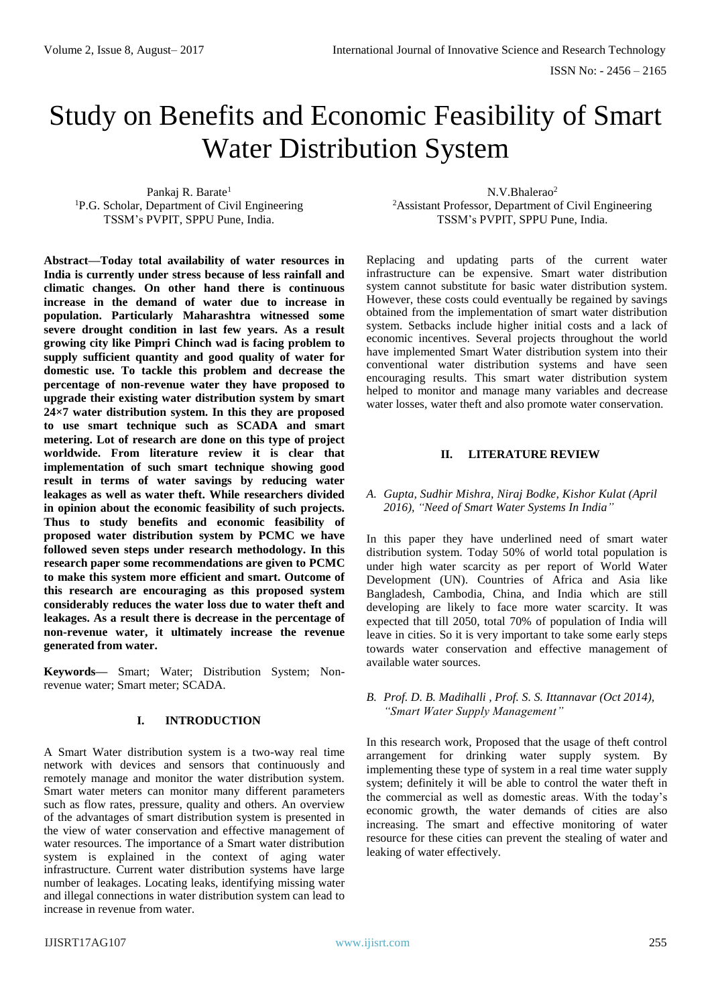# Study on Benefits and Economic Feasibility of Smart Water Distribution System

Pankaj R. Barate<sup>1</sup> <sup>1</sup>P.G. Scholar, Department of Civil Engineering TSSM's PVPIT, SPPU Pune, India.

**Abstract—Today total availability of water resources in India is currently under stress because of less rainfall and climatic changes. On other hand there is continuous increase in the demand of water due to increase in population. Particularly Maharashtra witnessed some severe drought condition in last few years. As a result growing city like Pimpri Chinch wad is facing problem to supply sufficient quantity and good quality of water for domestic use. To tackle this problem and decrease the percentage of non-revenue water they have proposed to upgrade their existing water distribution system by smart 24×7 water distribution system. In this they are proposed to use smart technique such as SCADA and smart metering. Lot of research are done on this type of project worldwide. From literature review it is clear that implementation of such smart technique showing good result in terms of water savings by reducing water leakages as well as water theft. While researchers divided in opinion about the economic feasibility of such projects. Thus to study benefits and economic feasibility of proposed water distribution system by PCMC we have followed seven steps under research methodology. In this research paper some recommendations are given to PCMC to make this system more efficient and smart. Outcome of this research are encouraging as this proposed system considerably reduces the water loss due to water theft and leakages. As a result there is decrease in the percentage of non-revenue water, it ultimately increase the revenue generated from water.**

**Keywords—** Smart; Water; Distribution System; Nonrevenue water; Smart meter; SCADA.

# **I. INTRODUCTION**

A Smart Water distribution system is a two-way real time network with devices and sensors that continuously and remotely manage and monitor the water distribution system. Smart water meters can monitor many different parameters such as flow rates, pressure, quality and others. An overview of the advantages of smart distribution system is presented in the view of water conservation and effective management of water resources. The importance of a Smart water distribution system is explained in the context of aging water infrastructure. Current water distribution systems have large number of leakages. Locating leaks, identifying missing water and illegal connections in water distribution system can lead to increase in revenue from water.

N.V. Bhalerao<sup>2</sup> <sup>2</sup>Assistant Professor, Department of Civil Engineering TSSM's PVPIT, SPPU Pune, India.

Replacing and updating parts of the current water infrastructure can be expensive. Smart water distribution system cannot substitute for basic water distribution system. However, these costs could eventually be regained by savings obtained from the implementation of smart water distribution system. Setbacks include higher initial costs and a lack of economic incentives. Several projects throughout the world have implemented Smart Water distribution system into their conventional water distribution systems and have seen encouraging results. This smart water distribution system helped to monitor and manage many variables and decrease water losses, water theft and also promote water conservation.

# **II. LITERATURE REVIEW**

# *A. Gupta, Sudhir Mishra, Niraj Bodke, Kishor Kulat (April 2016), "Need of Smart Water Systems In India"*

In this paper they have underlined need of smart water distribution system. Today 50% of world total population is under high water scarcity as per report of World Water Development (UN). Countries of Africa and Asia like Bangladesh, Cambodia, China, and India which are still developing are likely to face more water scarcity. It was expected that till 2050, total 70% of population of India will leave in cities. So it is very important to take some early steps towards water conservation and effective management of available water sources.

## *B. Prof. D. B. Madihalli , Prof. S. S. Ittannavar (Oct 2014), "Smart Water Supply Management"*

In this research work, Proposed that the usage of theft control arrangement for drinking water supply system. By implementing these type of system in a real time water supply system; definitely it will be able to control the water theft in the commercial as well as domestic areas. With the today's economic growth, the water demands of cities are also increasing. The smart and effective monitoring of water resource for these cities can prevent the stealing of water and leaking of water effectively.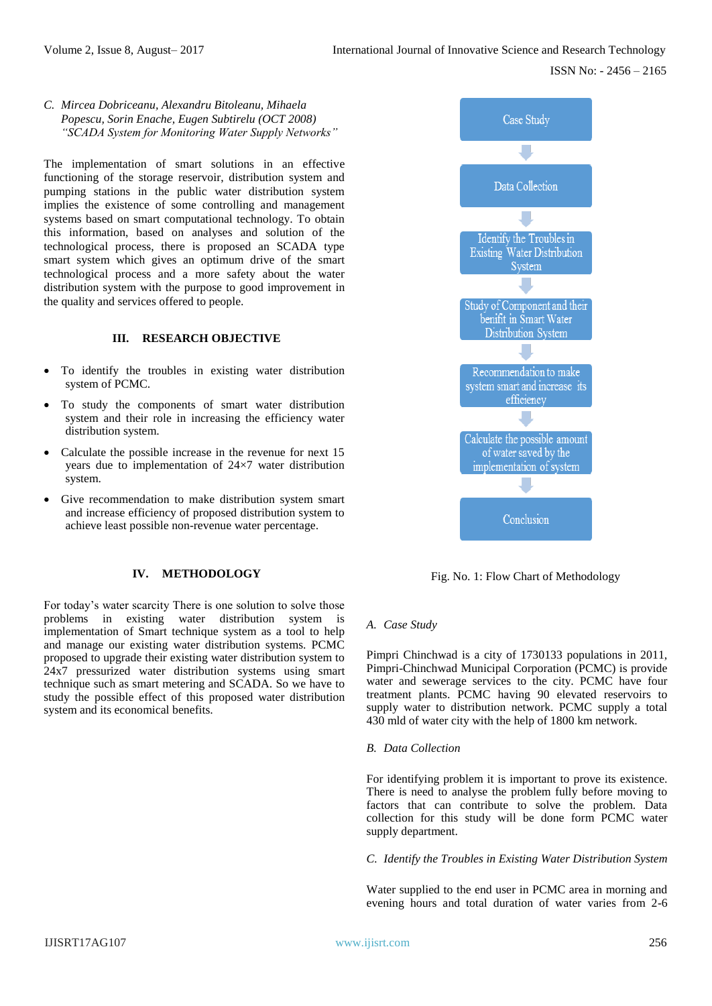# *C. Mircea Dobriceanu, Alexandru Bitoleanu, Mihaela Popescu, Sorin Enache, Eugen Subtirelu (OCT 2008) "SCADA System for Monitoring Water Supply Networks"*

The implementation of smart solutions in an effective functioning of the storage reservoir, distribution system and pumping stations in the public water distribution system implies the existence of some controlling and management systems based on smart computational technology. To obtain this information, based on analyses and solution of the technological process, there is proposed an SCADA type smart system which gives an optimum drive of the smart technological process and a more safety about the water distribution system with the purpose to good improvement in the quality and services offered to people.

# **III. RESEARCH OBJECTIVE**

- To identify the troubles in existing water distribution system of PCMC.
- To study the components of smart water distribution system and their role in increasing the efficiency water distribution system.
- Calculate the possible increase in the revenue for next 15 years due to implementation of 24×7 water distribution system.
- Give recommendation to make distribution system smart and increase efficiency of proposed distribution system to achieve least possible non-revenue water percentage.

# **IV. METHODOLOGY**

For today's water scarcity There is one solution to solve those problems in existing water distribution system is implementation of Smart technique system as a tool to help and manage our existing water distribution systems. PCMC proposed to upgrade their existing water distribution system to 24x7 pressurized water distribution systems using smart technique such as smart metering and SCADA. So we have to study the possible effect of this proposed water distribution system and its economical benefits.



Fig. No. 1: Flow Chart of Methodology

# *A. Case Study*

Pimpri Chinchwad is a city of 1730133 populations in 2011, Pimpri-Chinchwad Municipal Corporation (PCMC) is provide water and sewerage services to the city. PCMC have four treatment plants. PCMC having 90 elevated reservoirs to supply water to distribution network. PCMC supply a total 430 mld of water city with the help of 1800 km network.

## *B. Data Collection*

For identifying problem it is important to prove its existence. There is need to analyse the problem fully before moving to factors that can contribute to solve the problem. Data collection for this study will be done form PCMC water supply department.

*C. Identify the Troubles in Existing Water Distribution System*

Water supplied to the end user in PCMC area in morning and evening hours and total duration of water varies from 2-6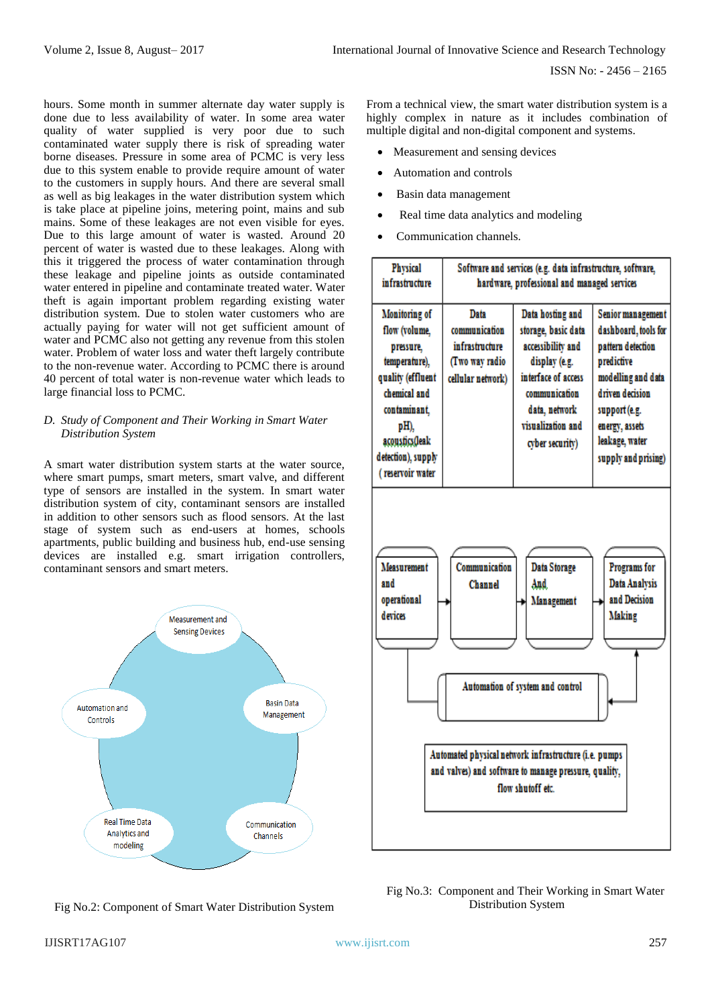hours. Some month in summer alternate day water supply is done due to less availability of water. In some area water quality of water supplied is very poor due to such contaminated water supply there is risk of spreading water borne diseases. Pressure in some area of PCMC is very less due to this system enable to provide require amount of water to the customers in supply hours. And there are several small as well as big leakages in the water distribution system which is take place at pipeline joins, metering point, mains and sub mains. Some of these leakages are not even visible for eyes. Due to this large amount of water is wasted. Around 20 percent of water is wasted due to these leakages. Along with this it triggered the process of water contamination through these leakage and pipeline joints as outside contaminated water entered in pipeline and contaminate treated water. Water theft is again important problem regarding existing water distribution system. Due to stolen water customers who are actually paying for water will not get sufficient amount of water and PCMC also not getting any revenue from this stolen water. Problem of water loss and water theft largely contribute to the non-revenue water. According to PCMC there is around 40 percent of total water is non-revenue water which leads to large financial loss to PCMC.

# *D. Study of Component and Their Working in Smart Water Distribution System*

A smart water distribution system starts at the water source, where smart pumps, smart meters, smart valve, and different type of sensors are installed in the system. In smart water distribution system of city, contaminant sensors are installed in addition to other sensors such as flood sensors. At the last stage of system such as end-users at homes, schools apartments, public building and business hub, end-use sensing devices are installed e.g. smart irrigation controllers, contaminant sensors and smart meters.



Fig No.2: Component of Smart Water Distribution System

From a technical view, the smart water distribution system is a highly complex in nature as it includes combination of multiple digital and non-digital component and systems.

- Measurement and sensing devices
- Automation and controls
- Basin data management
- Real time data analytics and modeling
- Communication channels.

| <b>Physical</b><br>infrastructure                                                                                                                                                     | Software and services (e.g. data infrastructure, software,<br>hardware, professional and managed services |                                                                                                                                                                                |                                                                                                                                                                                                   |  |  |  |  |
|---------------------------------------------------------------------------------------------------------------------------------------------------------------------------------------|-----------------------------------------------------------------------------------------------------------|--------------------------------------------------------------------------------------------------------------------------------------------------------------------------------|---------------------------------------------------------------------------------------------------------------------------------------------------------------------------------------------------|--|--|--|--|
| Monitoring of<br>flow (volume,<br>pressure,<br>temperature),<br>quality (effluent<br>chemical and<br>contaminant.<br>pH),<br>acoustics(leak<br>detection), supply<br>(reservoir water | Dafa<br>communication<br>infrastructure<br>(Two way radio<br>cellular network)                            | Data hosting and<br>storage, basic data<br>accessibility and<br>display (e.g.<br>interface of access<br>communication<br>data, network<br>visualization and<br>cyber security) | Senior management<br>dashboard, tools for<br>pattern detection<br>predictive<br>modelling and data<br>driven decision<br>support (e.g.<br>energy, assets<br>leakage, water<br>supply and prising) |  |  |  |  |
| <b>Measurement</b><br>and<br>operational<br>devices                                                                                                                                   | Communication<br>Channel                                                                                  | <b>Data Storage</b><br>And<br>Management<br>Automation of system and control<br>Automated physical network infrastructure (i.e. pumps                                          | Programs for<br>Data Analysis<br>and Decision<br><b>Making</b>                                                                                                                                    |  |  |  |  |
| and valves) and software to manage pressure, quality,<br>flow shutoff etc.                                                                                                            |                                                                                                           |                                                                                                                                                                                |                                                                                                                                                                                                   |  |  |  |  |

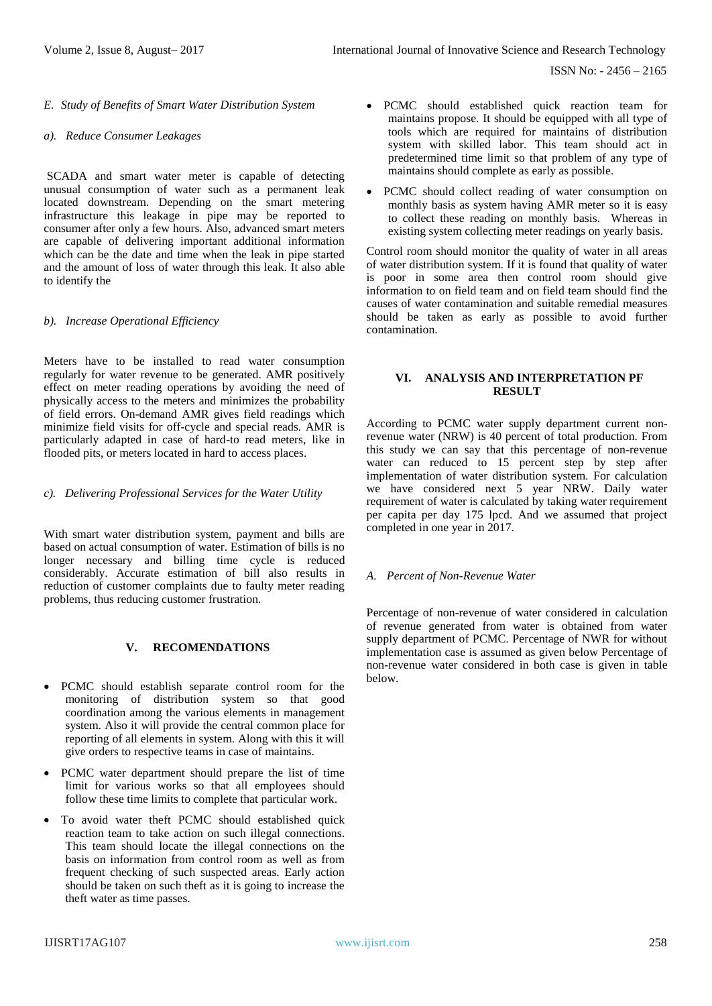ISSN No: - 2456 – 2165

*E. Study of Benefits of Smart Water Distribution System*

#### *a). Reduce Consumer Leakages*

SCADA and smart water meter is capable of detecting unusual consumption of water such as a permanent leak located downstream. Depending on the smart metering infrastructure this leakage in pipe may be reported to consumer after only a few hours. Also, advanced smart meters are capable of delivering important additional information which can be the date and time when the leak in pipe started and the amount of loss of water through this leak. It also able to identify the

## *b). Increase Operational Efficiency*

Meters have to be installed to read water consumption regularly for water revenue to be generated. AMR positively effect on meter reading operations by avoiding the need of physically access to the meters and minimizes the probability of field errors. On-demand AMR gives field readings which minimize field visits for off-cycle and special reads. AMR is particularly adapted in case of hard-to read meters, like in flooded pits, or meters located in hard to access places.

#### *c). Delivering Professional Services for the Water Utility*

With smart water distribution system, payment and bills are based on actual consumption of water. Estimation of bills is no longer necessary and billing time cycle is reduced considerably. Accurate estimation of bill also results in reduction of customer complaints due to faulty meter reading problems, thus reducing customer frustration.

# **V. RECOMENDATIONS**

- PCMC should establish separate control room for the monitoring of distribution system so that good coordination among the various elements in management system. Also it will provide the central common place for reporting of all elements in system. Along with this it will give orders to respective teams in case of maintains.
- PCMC water department should prepare the list of time limit for various works so that all employees should follow these time limits to complete that particular work.
- To avoid water theft PCMC should established quick reaction team to take action on such illegal connections. This team should locate the illegal connections on the basis on information from control room as well as from frequent checking of such suspected areas. Early action should be taken on such theft as it is going to increase the theft water as time passes.
- PCMC should established quick reaction team for maintains propose. It should be equipped with all type of tools which are required for maintains of distribution system with skilled labor. This team should act in predetermined time limit so that problem of any type of maintains should complete as early as possible.
- PCMC should collect reading of water consumption on monthly basis as system having AMR meter so it is easy to collect these reading on monthly basis. Whereas in existing system collecting meter readings on yearly basis.

Control room should monitor the quality of water in all areas of water distribution system. If it is found that quality of water is poor in some area then control room should give information to on field team and on field team should find the causes of water contamination and suitable remedial measures should be taken as early as possible to avoid further contamination.

# **VI. ANALYSIS AND INTERPRETATION PF RESULT**

According to PCMC water supply department current nonrevenue water (NRW) is 40 percent of total production. From this study we can say that this percentage of non-revenue water can reduced to 15 percent step by step after implementation of water distribution system. For calculation we have considered next 5 year NRW. Daily water requirement of water is calculated by taking water requirement per capita per day 175 lpcd. And we assumed that project completed in one year in 2017.

## *A. Percent of Non-Revenue Water*

Percentage of non-revenue of water considered in calculation of revenue generated from water is obtained from water supply department of PCMC. Percentage of NWR for without implementation case is assumed as given below Percentage of non-revenue water considered in both case is given in table below.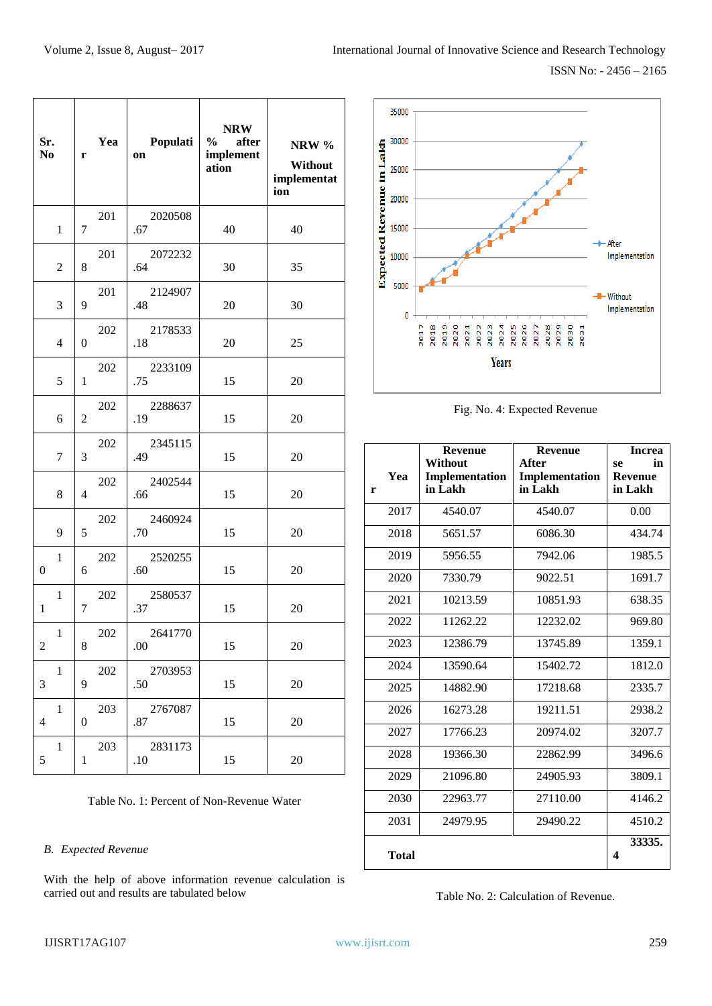| Sr.<br>N <sub>0</sub>                    | r                | Yea | Populati<br>on     | <b>NRW</b><br>$\%$<br>after<br>implement<br>ation | NRW %<br>Without<br>implementat<br>ion |
|------------------------------------------|------------------|-----|--------------------|---------------------------------------------------|----------------------------------------|
| $\mathbf{1}$                             | 7                | 201 | 2020508<br>.67     | 40                                                | 40                                     |
| $\overline{2}$                           | 8                | 201 | 2072232<br>.64     | 30                                                | 35                                     |
| 3                                        | 9                | 201 | 2124907<br>.48     | 20                                                | 30                                     |
| $\overline{4}$                           | $\overline{0}$   | 202 | 2178533<br>.18     | 20                                                | 25                                     |
| 5                                        | $\mathbf{1}$     | 202 | 2233109<br>.75     | 15                                                | 20                                     |
| 6                                        | $\overline{c}$   | 202 | 2288637<br>.19     | 15                                                | 20                                     |
| $\tau$                                   | 3                | 202 | 2345115<br>.49     | 15                                                | 20                                     |
| 8                                        | $\overline{4}$   | 202 | 2402544<br>.66     | 15                                                | 20                                     |
| 9                                        | 5                | 202 | 2460924<br>.70     | 15                                                | 20                                     |
| $\mathbf{1}$<br>$\boldsymbol{0}$         | 6                | 202 | 2520255<br>.60     | 15                                                | 20                                     |
| $\mathbf{1}$<br>$\mathbf{1}$             | 7                | 202 | 2580537<br>.37     | 15                                                | 20                                     |
| 1<br>$\boldsymbol{2}$                    | 8                | 202 | 2641770<br>.00     | 15                                                | 20                                     |
| $\mathbf{1}$<br>3                        | 9                | 202 | 2703953<br>.50     | 15                                                | 20                                     |
| $\mathbf{1}$<br>$\overline{\mathcal{L}}$ | $\boldsymbol{0}$ | 203 | 2767087<br>.87     | 15                                                | 20                                     |
| $\mathbf{1}$<br>5                        | 1                | 203 | 2831173<br>$.10\,$ | 15                                                | 20                                     |



Fig. No. 4: Expected Revenue

| r | Yea          | <b>Revenue</b><br>Without<br>Implementation<br>in Lakh | <b>Revenue</b><br>After<br>Implementation<br>in Lakh | <b>Increa</b><br>in<br>se<br><b>Revenue</b><br>in Lakh |
|---|--------------|--------------------------------------------------------|------------------------------------------------------|--------------------------------------------------------|
|   | 2017         | 4540.07                                                | 4540.07                                              | 0.00                                                   |
|   | 2018         | 5651.57                                                | 6086.30                                              | 434.74                                                 |
|   | 2019         | 5956.55                                                | 7942.06                                              | 1985.5                                                 |
|   | 2020         | 7330.79                                                | 9022.51                                              | 1691.7                                                 |
|   | 2021         | 10213.59                                               | 10851.93                                             | 638.35                                                 |
|   | 2022         | 11262.22                                               | 12232.02                                             | 969.80                                                 |
|   | 2023         | 12386.79                                               | 13745.89                                             | 1359.1                                                 |
|   | 2024         | 13590.64                                               | 15402.72                                             | 1812.0                                                 |
|   | 2025         | 14882.90                                               | 17218.68                                             | 2335.7                                                 |
|   | 2026         | 16273.28                                               | 19211.51                                             | 2938.2                                                 |
|   | 2027         | 17766.23                                               | 20974.02                                             | 3207.7                                                 |
|   | 2028         | 19366.30                                               | 22862.99                                             | 3496.6                                                 |
|   | 2029         | 21096.80                                               | 24905.93                                             | 3809.1                                                 |
|   | 2030         | 22963.77                                               | 27110.00                                             | 4146.2                                                 |
|   | 2031         | 24979.95                                               | 29490.22                                             | 4510.2                                                 |
|   | <b>Total</b> |                                                        |                                                      | 33335.<br>4                                            |

Table No. 1: Percent of Non-Revenue Water

# *B. Expected Revenue*

With the help of above information revenue calculation is carried out and results are tabulated below

Table No. 2: Calculation of Revenue.